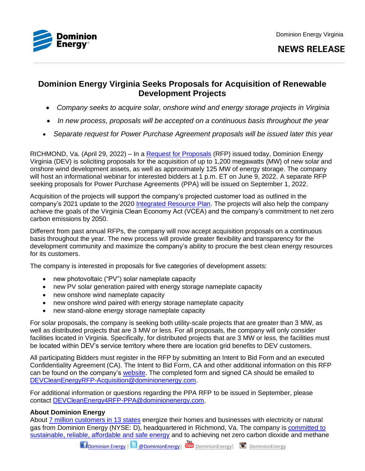

## **NEWS RELEASE**

# **Dominion Energy Virginia Seeks Proposals for Acquisition of Renewable Development Projects**

- *Company seeks to acquire solar, onshore wind and energy storage projects in Virginia*
- *In new process, proposals will be accepted on a continuous basis throughout the year*
- *Separate request for Power Purchase Agreement proposals will be issued later this year*

RICHMOND, Va. (April 29, 2022) – In a [Request for Proposals](https://www.dominionenergy.com/projects-and-facilities/renewable-projects/solar-onshore-wind-and-energy-storage-proposals) (RFP) issued today, Dominion Energy Virginia (DEV) is soliciting proposals for the acquisition of up to 1,200 megawatts (MW) of new solar and onshore wind development assets, as well as approximately 125 MW of energy storage. The company will host an informational webinar for interested bidders at 1 p.m. ET on June 9, 2022. A separate RFP seeking proposals for Power Purchase Agreements (PPA) will be issued on September 1, 2022.

Acquisition of the projects will support the company's projected customer load as outlined in the company's 2021 update to the 2020 [Integrated Resource Plan.](https://cdn-dominionenergy-prd-001.azureedge.net/-/media/pdfs/global/company/2021-de-integrated-resource-plan.pdf?la=en&rev=7041f8b02afd4339abd92f0888322c2c) The projects will also help the company achieve the goals of the Virginia Clean Economy Act (VCEA) and the company's commitment to net zero carbon emissions by 2050.

Different from past annual RFPs, the company will now accept acquisition proposals on a continuous basis throughout the year. The new process will provide greater flexibility and transparency for the development community and maximize the company's ability to procure the best clean energy resources for its customers.

The company is interested in proposals for five categories of development assets:

- new photovoltaic ("PV") solar nameplate capacity
- new PV solar generation paired with energy storage nameplate capacity
- new onshore wind nameplate capacity
- new onshore wind paired with energy storage nameplate capacity
- new stand-alone energy storage nameplate capacity

For solar proposals, the company is seeking both utility-scale projects that are greater than 3 MW, as well as distributed projects that are 3 MW or less. For all proposals, the company will only consider facilities located in Virginia. Specifically, for distributed projects that are 3 MW or less, the facilities must be located within DEV's service territory where there are location grid benefits to DEV customers.

All participating Bidders must register in the RFP by submitting an Intent to Bid Form and an executed Confidentiality Agreement (CA). The Intent to Bid Form, CA and other additional information on this RFP can be found on the company's [website.](https://www.dominionenergy.com/projects-and-facilities/renewable-projects/solar-onshore-wind-and-energy-storage-proposals) The completed form and signed CA should be emailed to [DEVCleanEnergyRFP-Acquisition@dominionenergy.com.](mailto:DEVCleanEnergyRFP-Acquisition@dominionenergy.com)

For additional information or questions regarding the PPA RFP to be issued in September, please contact [DEVCleanEnergy4RFP-PPA@dominionenergy.com.](mailto:DEVCleanEnergy4RFP-PPA@dominionenergy.com)

### **About Dominion Energy**

About [7 million customers in 13 states](https://www.dominionenergy.com/our-company/operating-segments) energize their homes and businesses with electricity or natural gas from Dominion Energy (NYSE: D), headquartered in Richmond, Va. The company is [committed to](https://www.dominionenergy.com/our-promise)  [sustainable, reliable, affordable and safe energy](https://www.dominionenergy.com/our-promise) and to achieving net zero carbon dioxide and methane